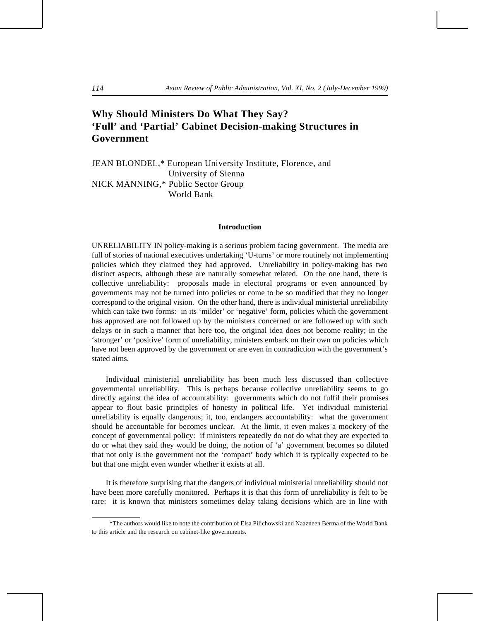# **Why Should Ministers Do What They Say? 'Full' and 'Partial' Cabinet Decision-making Structures in Government**

JEAN BLONDEL,\* European University Institute, Florence, and University of Sienna NICK MANNING,\* Public Sector Group World Bank

### **Introduction**

UNRELIABILITY IN policy-making is a serious problem facing government. The media are full of stories of national executives undertaking 'U-turns' or more routinely not implementing policies which they claimed they had approved. Unreliability in policy-making has two distinct aspects, although these are naturally somewhat related. On the one hand, there is collective unreliability: proposals made in electoral programs or even announced by governments may not be turned into policies or come to be so modified that they no longer correspond to the original vision. On the other hand, there is individual ministerial unreliability which can take two forms: in its 'milder' or 'negative' form, policies which the government has approved are not followed up by the ministers concerned or are followed up with such delays or in such a manner that here too, the original idea does not become reality; in the 'stronger' or 'positive' form of unreliability, ministers embark on their own on policies which have not been approved by the government or are even in contradiction with the government's stated aims.

Individual ministerial unreliability has been much less discussed than collective governmental unreliability. This is perhaps because collective unreliability seems to go directly against the idea of accountability: governments which do not fulfil their promises appear to flout basic principles of honesty in political life. Yet individual ministerial unreliability is equally dangerous; it, too, endangers accountability: what the government should be accountable for becomes unclear. At the limit, it even makes a mockery of the concept of governmental policy: if ministers repeatedly do not do what they are expected to do or what they said they would be doing, the notion of 'a' government becomes so diluted that not only is the government not the 'compact' body which it is typically expected to be but that one might even wonder whether it exists at all.

It is therefore surprising that the dangers of individual ministerial unreliability should not have been more carefully monitored. Perhaps it is that this form of unreliability is felt to be rare: it is known that ministers sometimes delay taking decisions which are in line with

 <sup>\*</sup>The authors would like to note the contribution of Elsa Pilichowski and Naazneen Berma of the World Bank to this article and the research on cabinet-like governments.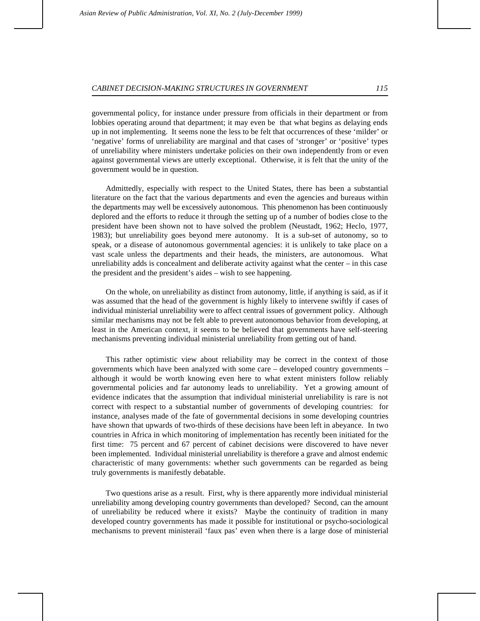governmental policy, for instance under pressure from officials in their department or from lobbies operating around that department; it may even be that what begins as delaying ends up in not implementing. It seems none the less to be felt that occurrences of these 'milder' or 'negative' forms of unreliability are marginal and that cases of 'stronger' or 'positive' types of unreliability where ministers undertake policies on their own independently from or even against governmental views are utterly exceptional. Otherwise, it is felt that the unity of the government would be in question.

Admittedly, especially with respect to the United States, there has been a substantial literature on the fact that the various departments and even the agencies and bureaus within the departments may well be excessively autonomous. This phenomenon has been continuously deplored and the efforts to reduce it through the setting up of a number of bodies close to the president have been shown not to have solved the problem (Neustadt, 1962; Heclo, 1977, 1983); but unreliability goes beyond mere autonomy. It is a sub-set of autonomy, so to speak, or a disease of autonomous governmental agencies: it is unlikely to take place on a vast scale unless the departments and their heads, the ministers, are autonomous. What unreliability adds is concealment and deliberate activity against what the center – in this case the president and the president's aides – wish to see happening.

On the whole, on unreliability as distinct from autonomy, little, if anything is said, as if it was assumed that the head of the government is highly likely to intervene swiftly if cases of individual ministerial unreliability were to affect central issues of government policy. Although similar mechanisms may not be felt able to prevent autonomous behavior from developing, at least in the American context, it seems to be believed that governments have self-steering mechanisms preventing individual ministerial unreliability from getting out of hand.

This rather optimistic view about reliability may be correct in the context of those governments which have been analyzed with some care – developed country governments – although it would be worth knowing even here to what extent ministers follow reliably governmental policies and far autonomy leads to unreliability. Yet a growing amount of evidence indicates that the assumption that individual ministerial unreliability is rare is not correct with respect to a substantial number of governments of developing countries: for instance, analyses made of the fate of governmental decisions in some developing countries have shown that upwards of two-thirds of these decisions have been left in abeyance. In two countries in Africa in which monitoring of implementation has recently been initiated for the first time: 75 percent and 67 percent of cabinet decisions were discovered to have never been implemented. Individual ministerial unreliability is therefore a grave and almost endemic characteristic of many governments: whether such governments can be regarded as being truly governments is manifestly debatable.

Two questions arise as a result. First, why is there apparently more individual ministerial unreliability among developing country governments than developed? Second, can the amount of unreliability be reduced where it exists? Maybe the continuity of tradition in many developed country governments has made it possible for institutional or psycho-sociological mechanisms to prevent ministerail 'faux pas' even when there is a large dose of ministerial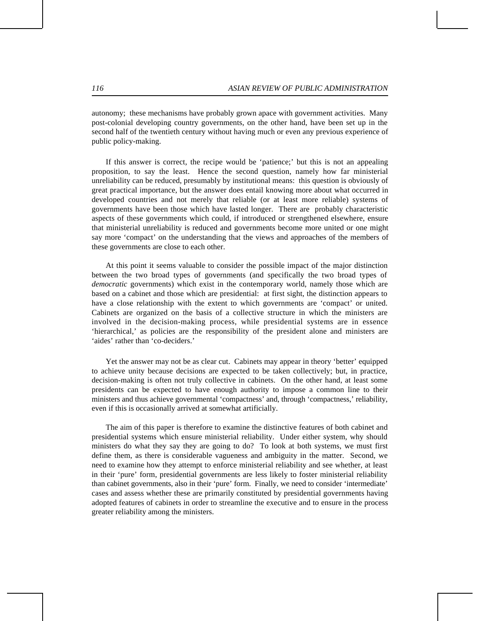autonomy; these mechanisms have probably grown apace with government activities. Many post-colonial developing country governments, on the other hand, have been set up in the second half of the twentieth century without having much or even any previous experience of public policy-making.

If this answer is correct, the recipe would be 'patience;' but this is not an appealing proposition, to say the least. Hence the second question, namely how far ministerial unreliability can be reduced, presumably by institutional means: this question is obviously of great practical importance, but the answer does entail knowing more about what occurred in developed countries and not merely that reliable (or at least more reliable) systems of governments have been those which have lasted longer. There are probably characteristic aspects of these governments which could, if introduced or strengthened elsewhere, ensure that ministerial unreliability is reduced and governments become more united or one might say more 'compact' on the understanding that the views and approaches of the members of these governments are close to each other.

At this point it seems valuable to consider the possible impact of the major distinction between the two broad types of governments (and specifically the two broad types of *democratic* governments) which exist in the contemporary world, namely those which are based on a cabinet and those which are presidential: at first sight, the distinction appears to have a close relationship with the extent to which governments are 'compact' or united. Cabinets are organized on the basis of a collective structure in which the ministers are involved in the decision-making process, while presidential systems are in essence 'hierarchical,' as policies are the responsibility of the president alone and ministers are 'aides' rather than 'co-deciders.'

Yet the answer may not be as clear cut. Cabinets may appear in theory 'better' equipped to achieve unity because decisions are expected to be taken collectively; but, in practice, decision-making is often not truly collective in cabinets. On the other hand, at least some presidents can be expected to have enough authority to impose a common line to their ministers and thus achieve governmental 'compactness' and, through 'compactness,' reliability, even if this is occasionally arrived at somewhat artificially.

The aim of this paper is therefore to examine the distinctive features of both cabinet and presidential systems which ensure ministerial reliability. Under either system, why should ministers do what they say they are going to do? To look at both systems, we must first define them, as there is considerable vagueness and ambiguity in the matter. Second, we need to examine how they attempt to enforce ministerial reliability and see whether, at least in their 'pure' form, presidential governments are less likely to foster ministerial reliability than cabinet governments, also in their 'pure' form. Finally, we need to consider 'intermediate' cases and assess whether these are primarily constituted by presidential governments having adopted features of cabinets in order to streamline the executive and to ensure in the process greater reliability among the ministers.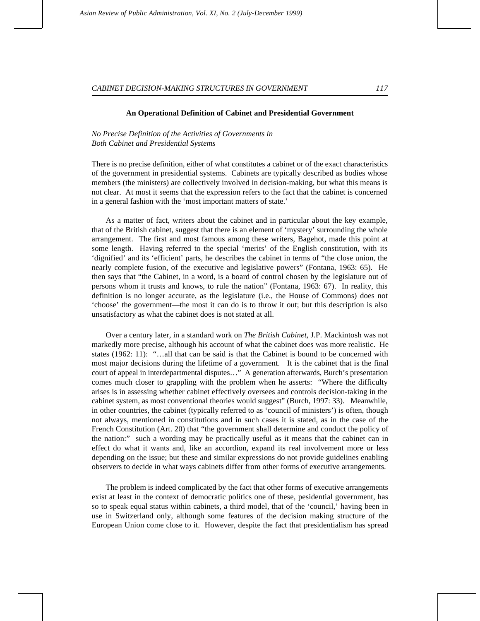#### **An Operational Definition of Cabinet and Presidential Government**

*No Precise Definition of the Activities of Governments in Both Cabinet and Presidential Systems*

There is no precise definition, either of what constitutes a cabinet or of the exact characteristics of the government in presidential systems. Cabinets are typically described as bodies whose members (the ministers) are collectively involved in decision-making, but what this means is not clear. At most it seems that the expression refers to the fact that the cabinet is concerned in a general fashion with the 'most important matters of state.'

As a matter of fact, writers about the cabinet and in particular about the key example, that of the British cabinet, suggest that there is an element of 'mystery' surrounding the whole arrangement. The first and most famous among these writers, Bagehot, made this point at some length. Having referred to the special 'merits' of the English constitution, with its 'dignified' and its 'efficient' parts, he describes the cabinet in terms of "the close union, the nearly complete fusion, of the executive and legislative powers" (Fontana, 1963: 65). He then says that "the Cabinet, in a word, is a board of control chosen by the legislature out of persons whom it trusts and knows, to rule the nation" (Fontana, 1963: 67). In reality, this definition is no longer accurate, as the legislature (i.e., the House of Commons) does not 'choose' the government—the most it can do is to throw it out; but this description is also unsatisfactory as what the cabinet does is not stated at all.

Over a century later, in a standard work on *The British Cabinet*, J.P. Mackintosh was not markedly more precise, although his account of what the cabinet does was more realistic. He states (1962: 11): "…all that can be said is that the Cabinet is bound to be concerned with most major decisions during the lifetime of a government. It is the cabinet that is the final court of appeal in interdepartmental disputes…" A generation afterwards, Burch's presentation comes much closer to grappling with the problem when he asserts: "Where the difficulty arises is in assessing whether cabinet effectively oversees and controls decision-taking in the cabinet system, as most conventional theories would suggest" (Burch, 1997: 33). Meanwhile, in other countries, the cabinet (typically referred to as 'council of ministers') is often, though not always, mentioned in constitutions and in such cases it is stated, as in the case of the French Constitution (Art. 20) that "the government shall determine and conduct the policy of the nation:" such a wording may be practically useful as it means that the cabinet can in effect do what it wants and, like an accordion, expand its real involvement more or less depending on the issue; but these and similar expressions do not provide guidelines enabling observers to decide in what ways cabinets differ from other forms of executive arrangements.

The problem is indeed complicated by the fact that other forms of executive arrangements exist at least in the context of democratic politics one of these, pesidential government, has so to speak equal status within cabinets, a third model, that of the 'council,' having been in use in Switzerland only, although some features of the decision making structure of the European Union come close to it. However, despite the fact that presidentialism has spread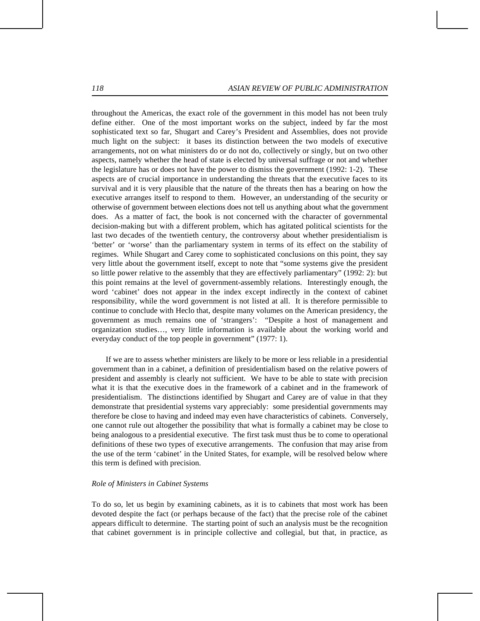throughout the Americas, the exact role of the government in this model has not been truly define either. One of the most important works on the subject, indeed by far the most sophisticated text so far, Shugart and Carey's President and Assemblies, does not provide much light on the subject: it bases its distinction between the two models of executive arrangements, not on what ministers do or do not do, collectively or singly, but on two other aspects, namely whether the head of state is elected by universal suffrage or not and whether the legislature has or does not have the power to dismiss the government (1992: 1-2). These aspects are of crucial importance in understanding the threats that the executive faces to its survival and it is very plausible that the nature of the threats then has a bearing on how the executive arranges itself to respond to them. However, an understanding of the security or otherwise of government between elections does not tell us anything about what the government does. As a matter of fact, the book is not concerned with the character of governmental decision-making but with a different problem, which has agitated political scientists for the last two decades of the twentieth century, the controversy about whether presidentialism is 'better' or 'worse' than the parliamentary system in terms of its effect on the stability of regimes. While Shugart and Carey come to sophisticated conclusions on this point, they say very little about the government itself, except to note that "some systems give the president so little power relative to the assembly that they are effectively parliamentary" (1992: 2): but this point remains at the level of government-assembly relations. Interestingly enough, the word 'cabinet' does not appear in the index except indirectly in the context of cabinet responsibility, while the word government is not listed at all. It is therefore permissible to continue to conclude with Heclo that, despite many volumes on the American presidency, the government as much remains one of 'strangers': "Despite a host of management and organization studies…, very little information is available about the working world and everyday conduct of the top people in government" (1977: 1).

If we are to assess whether ministers are likely to be more or less reliable in a presidential government than in a cabinet, a definition of presidentialism based on the relative powers of president and assembly is clearly not sufficient. We have to be able to state with precision what it is that the executive does in the framework of a cabinet and in the framework of presidentialism. The distinctions identified by Shugart and Carey are of value in that they demonstrate that presidential systems vary appreciably: some presidential governments may therefore be close to having and indeed may even have characteristics of cabinets. Conversely, one cannot rule out altogether the possibility that what is formally a cabinet may be close to being analogous to a presidential executive. The first task must thus be to come to operational definitions of these two types of executive arrangements. The confusion that may arise from the use of the term 'cabinet' in the United States, for example, will be resolved below where this term is defined with precision.

#### *Role of Ministers in Cabinet Systems*

To do so, let us begin by examining cabinets, as it is to cabinets that most work has been devoted despite the fact (or perhaps because of the fact) that the precise role of the cabinet appears difficult to determine. The starting point of such an analysis must be the recognition that cabinet government is in principle collective and collegial, but that, in practice, as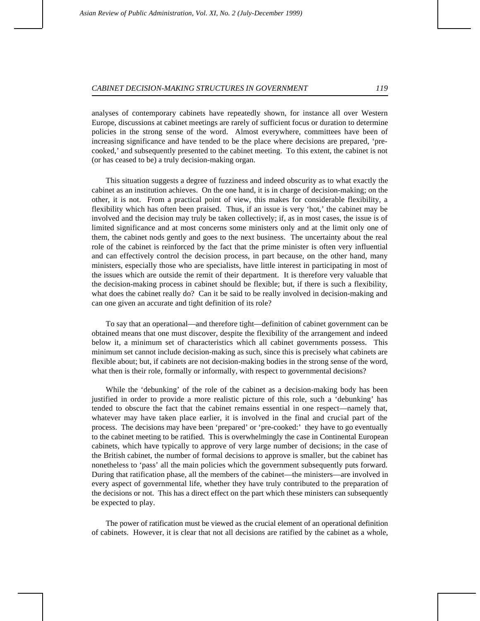analyses of contemporary cabinets have repeatedly shown, for instance all over Western Europe, discussions at cabinet meetings are rarely of sufficient focus or duration to determine policies in the strong sense of the word. Almost everywhere, committees have been of increasing significance and have tended to be the place where decisions are prepared, 'precooked,' and subsequently presented to the cabinet meeting. To this extent, the cabinet is not (or has ceased to be) a truly decision-making organ.

This situation suggests a degree of fuzziness and indeed obscurity as to what exactly the cabinet as an institution achieves. On the one hand, it is in charge of decision-making; on the other, it is not. From a practical point of view, this makes for considerable flexibility, a flexibility which has often been praised. Thus, if an issue is very 'hot,' the cabinet may be involved and the decision may truly be taken collectively; if, as in most cases, the issue is of limited significance and at most concerns some ministers only and at the limit only one of them, the cabinet nods gently and goes to the next business. The uncertainty about the real role of the cabinet is reinforced by the fact that the prime minister is often very influential and can effectively control the decision process, in part because, on the other hand, many ministers, especially those who are specialists, have little interest in participating in most of the issues which are outside the remit of their department. It is therefore very valuable that the decision-making process in cabinet should be flexible; but, if there is such a flexibility, what does the cabinet really do? Can it be said to be really involved in decision-making and can one given an accurate and tight definition of its role?

To say that an operational—and therefore tight—definition of cabinet government can be obtained means that one must discover, despite the flexibility of the arrangement and indeed below it, a minimum set of characteristics which all cabinet governments possess. This minimum set cannot include decision-making as such, since this is precisely what cabinets are flexible about; but, if cabinets are not decision-making bodies in the strong sense of the word, what then is their role, formally or informally, with respect to governmental decisions?

While the 'debunking' of the role of the cabinet as a decision-making body has been justified in order to provide a more realistic picture of this role, such a 'debunking' has tended to obscure the fact that the cabinet remains essential in one respect—namely that, whatever may have taken place earlier, it is involved in the final and crucial part of the process. The decisions may have been 'prepared' or 'pre-cooked:' they have to go eventually to the cabinet meeting to be ratified. This is overwhelmingly the case in Continental European cabinets, which have typically to approve of very large number of decisions; in the case of the British cabinet, the number of formal decisions to approve is smaller, but the cabinet has nonetheless to 'pass' all the main policies which the government subsequently puts forward. During that ratification phase, all the members of the cabinet—the ministers—are involved in every aspect of governmental life, whether they have truly contributed to the preparation of the decisions or not. This has a direct effect on the part which these ministers can subsequently be expected to play.

The power of ratification must be viewed as the crucial element of an operational definition of cabinets. However, it is clear that not all decisions are ratified by the cabinet as a whole,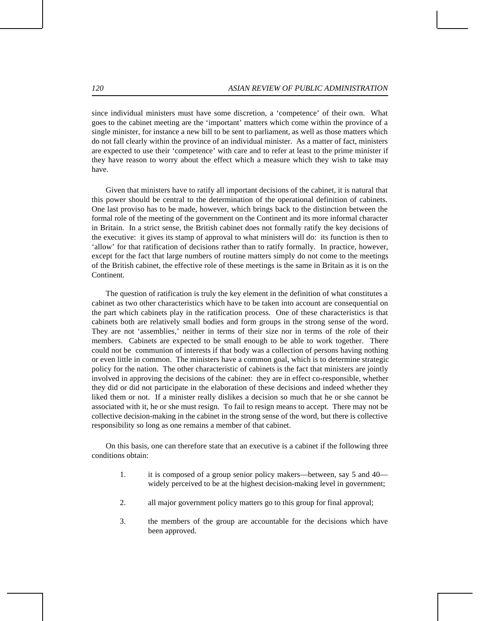since individual ministers must have some discretion, a 'competence' of their own. What goes to the cabinet meeting are the 'important' matters which come within the province of a single minister, for instance a new bill to be sent to parliament, as well as those matters which do not fall clearly within the province of an individual minister. As a matter of fact, ministers are expected to use their 'competence' with care and to refer at least to the prime minister if they have reason to worry about the effect which a measure which they wish to take may have.

Given that ministers have to ratify all important decisions of the cabinet, it is natural that this power should be central to the determination of the operational definition of cabinets. One last proviso has to be made, however, which brings back to the distinction between the formal role of the meeting of the government on the Continent and its more informal character in Britain. In a strict sense, the British cabinet does not formally ratify the key decisions of the executive: it gives its stamp of approval to what ministers will do: its function is then to 'allow' for that ratification of decisions rather than to ratify formally. In practice, however, except for the fact that large numbers of routine matters simply do not come to the meetings of the British cabinet, the effective role of these meetings is the same in Britain as it is on the Continent.

The question of ratification is truly the key element in the definition of what constitutes a cabinet as two other characteristics which have to be taken into account are consequential on the part which cabinets play in the ratification process. One of these characteristics is that cabinets both are relatively small bodies and form groups in the strong sense of the word. They are not 'assemblies,' neither in terms of their size nor in terms of the role of their members. Cabinets are expected to be small enough to be able to work together. There could not be communion of interests if that body was a collection of persons having nothing or even little in common. The ministers have a common goal, which is to determine strategic policy for the nation. The other characteristic of cabinets is the fact that ministers are jointly involved in approving the decisions of the cabinet: they are in effect co-responsible, whether they did or did not participate in the elaboration of these decisions and indeed whether they liked them or not. If a minister really dislikes a decision so much that he or she cannot be associated with it, he or she must resign. To fail to resign means to accept. There may not be collective decision-making in the cabinet in the strong sense of the word, but there is collective responsibility so long as one remains a member of that cabinet.

On this basis, one can therefore state that an executive is a cabinet if the following three conditions obtain:

- 1. it is composed of a group senior policy makers—between, say 5 and 40 widely perceived to be at the highest decision-making level in government;
- 2. all major government policy matters go to this group for final approval;
- 3. the members of the group are accountable for the decisions which have been approved.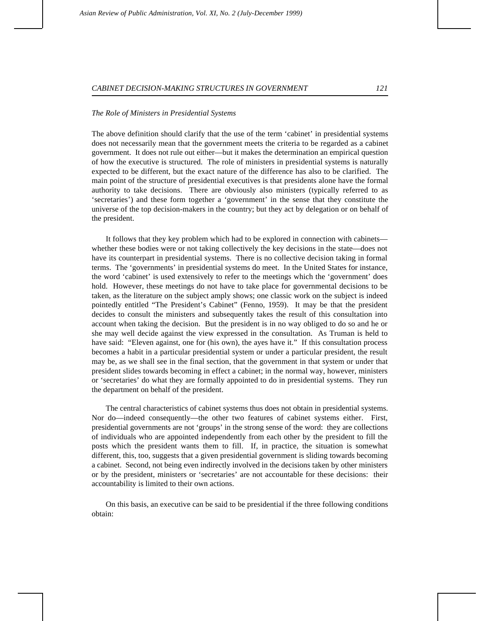#### *The Role of Ministers in Presidential Systems*

The above definition should clarify that the use of the term 'cabinet' in presidential systems does not necessarily mean that the government meets the criteria to be regarded as a cabinet government. It does not rule out either—but it makes the determination an empirical question of how the executive is structured. The role of ministers in presidential systems is naturally expected to be different, but the exact nature of the difference has also to be clarified. The main point of the structure of presidential executives is that presidents alone have the formal authority to take decisions. There are obviously also ministers (typically referred to as 'secretaries') and these form together a 'government' in the sense that they constitute the universe of the top decision-makers in the country; but they act by delegation or on behalf of the president.

It follows that they key problem which had to be explored in connection with cabinets whether these bodies were or not taking collectively the key decisions in the state—does not have its counterpart in presidential systems. There is no collective decision taking in formal terms. The 'governments' in presidential systems do meet. In the United States for instance, the word 'cabinet' is used extensively to refer to the meetings which the 'government' does hold. However, these meetings do not have to take place for governmental decisions to be taken, as the literature on the subject amply shows; one classic work on the subject is indeed pointedly entitled "The President's Cabinet" (Fenno, 1959). It may be that the president decides to consult the ministers and subsequently takes the result of this consultation into account when taking the decision. But the president is in no way obliged to do so and he or she may well decide against the view expressed in the consultation. As Truman is held to have said: "Eleven against, one for (his own), the ayes have it." If this consultation process becomes a habit in a particular presidential system or under a particular president, the result may be, as we shall see in the final section, that the government in that system or under that president slides towards becoming in effect a cabinet; in the normal way, however, ministers or 'secretaries' do what they are formally appointed to do in presidential systems. They run the department on behalf of the president.

The central characteristics of cabinet systems thus does not obtain in presidential systems. Nor do—indeed consequently—the other two features of cabinet systems either. First, presidential governments are not 'groups' in the strong sense of the word: they are collections of individuals who are appointed independently from each other by the president to fill the posts which the president wants them to fill. If, in practice, the situation is somewhat different, this, too, suggests that a given presidential government is sliding towards becoming a cabinet. Second, not being even indirectly involved in the decisions taken by other ministers or by the president, ministers or 'secretaries' are not accountable for these decisions: their accountability is limited to their own actions.

On this basis, an executive can be said to be presidential if the three following conditions obtain: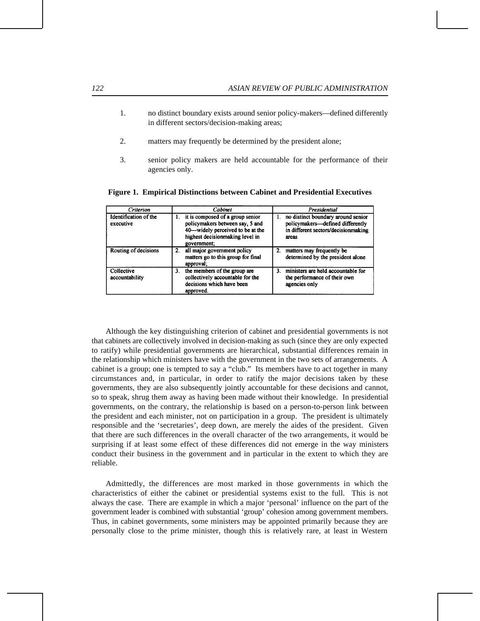- 1. no distinct boundary exists around senior policy-makers—defined differently in different sectors/decision-making areas;
- 2. matters may frequently be determined by the president alone;
- 3. senior policy makers are held accountable for the performance of their agencies only.

| Criterion                          | Cabinet                                                                                                                                                      | Presidential                                                                                                                 |
|------------------------------------|--------------------------------------------------------------------------------------------------------------------------------------------------------------|------------------------------------------------------------------------------------------------------------------------------|
| Identification of the<br>executive | 1. it is composed of a group senior<br>policymakers between say, 5 and<br>40-widely perceived to be at the<br>highest decisionmaking level in<br>government; | no distinct boundary around senior<br>1.<br>policymakers-defined differently<br>in different sectors/decisionmaking<br>areas |
| Routing of decisions               | all major government policy<br>2.<br>matters go to this group for final<br>approval;                                                                         | 2. matters may frequently be<br>determined by the president alone                                                            |
| Collective<br>accountability       | the members of the group are<br>3.<br>collectively accountable for the<br>decisions which have been<br>approved.                                             | ministers are held accountable for<br>3 <sub>1</sub><br>the performance of their own<br>agencies only                        |

**Figure 1. Empirical Distinctions between Cabinet and Presidential Executives**

Although the key distinguishing criterion of cabinet and presidential governments is not that cabinets are collectively involved in decision-making as such (since they are only expected to ratify) while presidential governments are hierarchical, substantial differences remain in the relationship which ministers have with the government in the two sets of arrangements. A cabinet is a group; one is tempted to say a "club." Its members have to act together in many circumstances and, in particular, in order to ratify the major decisions taken by these governments, they are also subsequently jointly accountable for these decisions and cannot, so to speak, shrug them away as having been made without their knowledge. In presidential governments, on the contrary, the relationship is based on a person-to-person link between the president and each minister, not on participation in a group. The president is ultimately responsible and the 'secretaries', deep down, are merely the aides of the president. Given that there are such differences in the overall character of the two arrangements, it would be surprising if at least some effect of these differences did not emerge in the way ministers conduct their business in the government and in particular in the extent to which they are reliable.

Admittedly, the differences are most marked in those governments in which the characteristics of either the cabinet or presidential systems exist to the full. This is not always the case. There are example in which a major 'personal' influence on the part of the government leader is combined with substantial 'group' cohesion among government members. Thus, in cabinet governments, some ministers may be appointed primarily because they are personally close to the prime minister, though this is relatively rare, at least in Western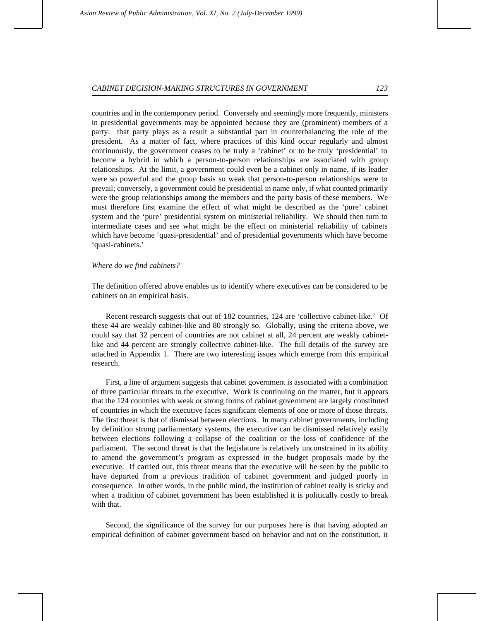countries and in the contemporary period. Conversely and seemingly more frequently, ministers in presidential governments may be appointed because they are (prominent) members of a party: that party plays as a result a substantial part in counterbalancing the role of the president. As a matter of fact, where practices of this kind occur regularly and almost continuously, the government ceases to be truly a 'cabinet' or to be truly 'presidential' to become a hybrid in which a person-to-person relationships are associated with group relationships. At the limit, a government could even be a cabinet only in name, if its leader were so powerful and the group basis so weak that person-to-person relationships were to prevail; conversely, a government could be presidential in name only, if what counted primarily were the group relationships among the members and the party basis of these members. We must therefore first examine the effect of what might be described as the 'pure' cabinet system and the 'pure' presidential system on ministerial reliability. We should then turn to intermediate cases and see what might be the effect on ministerial reliability of cabinets which have become 'quasi-presidential' and of presidential governments which have become 'quasi-cabinets.'

### *Where do we find cabinets?*

The definition offered above enables us to identify where executives can be considered to be cabinets on an empirical basis.

Recent research suggests that out of 182 countries, 124 are 'collective cabinet-like.' Of these 44 are weakly cabinet-like and 80 strongly so. Globally, using the criteria above, we could say that 32 percent of countries are not cabinet at all, 24 percent are weakly cabinetlike and 44 percent are strongly collective cabinet-like. The full details of the survey are attached in Appendix 1. There are two interesting issues which emerge from this empirical research.

First, a line of argument suggests that cabinet government is associated with a combination of three particular threats to the executive. Work is continuing on the matter, but it appears that the 124 countries with weak or strong forms of cabinet government are largely constituted of countries in which the executive faces significant elements of one or more of those threats. The first threat is that of dismissal between elections. In many cabinet governments, including by definition strong parliamentary systems, the executive can be dismissed relatively easily between elections following a collapse of the coalition or the loss of confidence of the parliament. The second threat is that the legislature is relatively unconstrained in its ability to amend the government's program as expressed in the budget proposals made by the executive. If carried out, this threat means that the executive will be seen by the public to have departed from a previous tradition of cabinet government and judged poorly in consequence. In other words, in the public mind, the institution of cabinet really is sticky and when a tradition of cabinet government has been established it is politically costly to break with that.

Second, the significance of the survey for our purposes here is that having adopted an empirical definition of cabinet government based on behavior and not on the constitution, it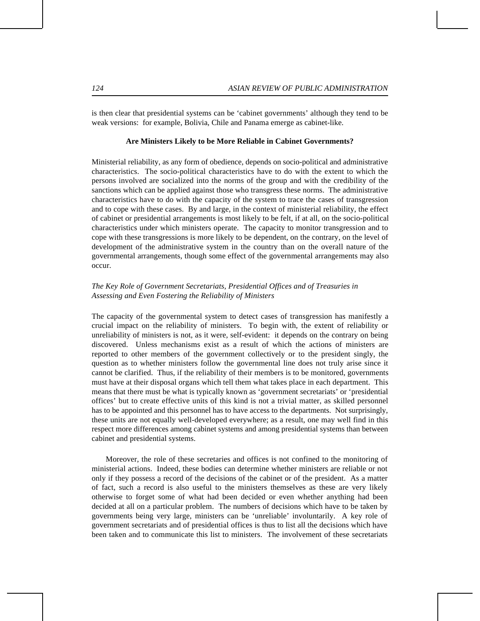is then clear that presidential systems can be 'cabinet governments' although they tend to be weak versions: for example, Bolivia, Chile and Panama emerge as cabinet-like.

### **Are Ministers Likely to be More Reliable in Cabinet Governments?**

Ministerial reliability, as any form of obedience, depends on socio-political and administrative characteristics. The socio-political characteristics have to do with the extent to which the persons involved are socialized into the norms of the group and with the credibility of the sanctions which can be applied against those who transgress these norms. The administrative characteristics have to do with the capacity of the system to trace the cases of transgression and to cope with these cases. By and large, in the context of ministerial reliability, the effect of cabinet or presidential arrangements is most likely to be felt, if at all, on the socio-political characteristics under which ministers operate. The capacity to monitor transgression and to cope with these transgressions is more likely to be dependent, on the contrary, on the level of development of the administrative system in the country than on the overall nature of the governmental arrangements, though some effect of the governmental arrangements may also occur.

# *The Key Role of Government Secretariats, Presidential Offices and of Treasuries in Assessing and Even Fostering the Reliability of Ministers*

The capacity of the governmental system to detect cases of transgression has manifestly a crucial impact on the reliability of ministers. To begin with, the extent of reliability or unreliability of ministers is not, as it were, self-evident: it depends on the contrary on being discovered. Unless mechanisms exist as a result of which the actions of ministers are reported to other members of the government collectively or to the president singly, the question as to whether ministers follow the governmental line does not truly arise since it cannot be clarified. Thus, if the reliability of their members is to be monitored, governments must have at their disposal organs which tell them what takes place in each department. This means that there must be what is typically known as 'government secretariats' or 'presidential offices' but to create effective units of this kind is not a trivial matter, as skilled personnel has to be appointed and this personnel has to have access to the departments. Not surprisingly, these units are not equally well-developed everywhere; as a result, one may well find in this respect more differences among cabinet systems and among presidential systems than between cabinet and presidential systems.

Moreover, the role of these secretaries and offices is not confined to the monitoring of ministerial actions. Indeed, these bodies can determine whether ministers are reliable or not only if they possess a record of the decisions of the cabinet or of the president. As a matter of fact, such a record is also useful to the ministers themselves as these are very likely otherwise to forget some of what had been decided or even whether anything had been decided at all on a particular problem. The numbers of decisions which have to be taken by governments being very large, ministers can be 'unreliable' involuntarily. A key role of government secretariats and of presidential offices is thus to list all the decisions which have been taken and to communicate this list to ministers. The involvement of these secretariats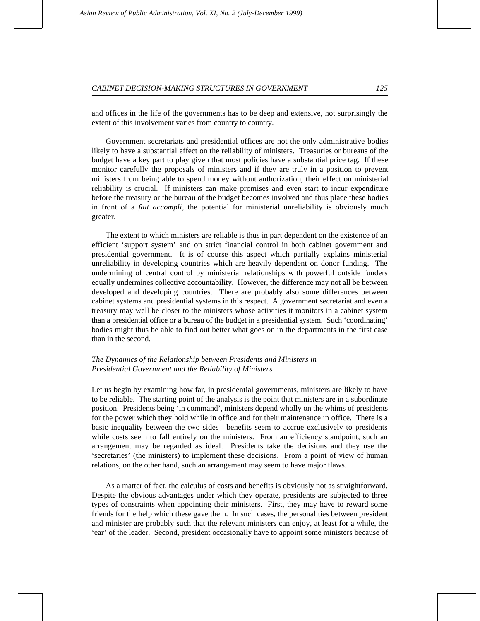and offices in the life of the governments has to be deep and extensive, not surprisingly the extent of this involvement varies from country to country.

Government secretariats and presidential offices are not the only administrative bodies likely to have a substantial effect on the reliability of ministers. Treasuries or bureaus of the budget have a key part to play given that most policies have a substantial price tag. If these monitor carefully the proposals of ministers and if they are truly in a position to prevent ministers from being able to spend money without authorization, their effect on ministerial reliability is crucial. If ministers can make promises and even start to incur expenditure before the treasury or the bureau of the budget becomes involved and thus place these bodies in front of a *fait accompli*, the potential for ministerial unreliability is obviously much greater.

The extent to which ministers are reliable is thus in part dependent on the existence of an efficient 'support system' and on strict financial control in both cabinet government and presidential government. It is of course this aspect which partially explains ministerial unreliability in developing countries which are heavily dependent on donor funding. The undermining of central control by ministerial relationships with powerful outside funders equally undermines collective accountability. However, the difference may not all be between developed and developing countries. There are probably also some differences between cabinet systems and presidential systems in this respect. A government secretariat and even a treasury may well be closer to the ministers whose activities it monitors in a cabinet system than a presidential office or a bureau of the budget in a presidential system. Such 'coordinating' bodies might thus be able to find out better what goes on in the departments in the first case than in the second.

## *The Dynamics of the Relationship between Presidents and Ministers in Presidential Government and the Reliability of Ministers*

Let us begin by examining how far, in presidential governments, ministers are likely to have to be reliable. The starting point of the analysis is the point that ministers are in a subordinate position. Presidents being 'in command', ministers depend wholly on the whims of presidents for the power which they hold while in office and for their maintenance in office. There is a basic inequality between the two sides—benefits seem to accrue exclusively to presidents while costs seem to fall entirely on the ministers. From an efficiency standpoint, such an arrangement may be regarded as ideal. Presidents take the decisions and they use the 'secretaries' (the ministers) to implement these decisions. From a point of view of human relations, on the other hand, such an arrangement may seem to have major flaws.

As a matter of fact, the calculus of costs and benefits is obviously not as straightforward. Despite the obvious advantages under which they operate, presidents are subjected to three types of constraints when appointing their ministers. First, they may have to reward some friends for the help which these gave them. In such cases, the personal ties between president and minister are probably such that the relevant ministers can enjoy, at least for a while, the 'ear' of the leader. Second, president occasionally have to appoint some ministers because of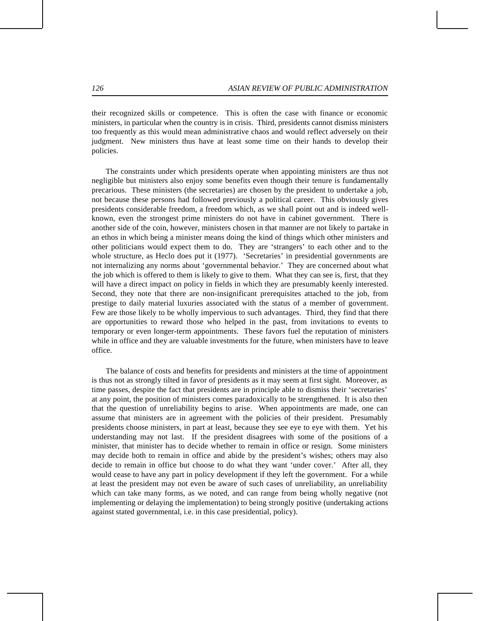their recognized skills or competence. This is often the case with finance or economic ministers, in particular when the country is in crisis. Third, presidents cannot dismiss ministers too frequently as this would mean administrative chaos and would reflect adversely on their judgment. New ministers thus have at least some time on their hands to develop their policies.

The constraints under which presidents operate when appointing ministers are thus not negligible but ministers also enjoy some benefits even though their tenure is fundamentally precarious. These ministers (the secretaries) are chosen by the president to undertake a job, not because these persons had followed previously a political career. This obviously gives presidents considerable freedom, a freedom which, as we shall point out and is indeed wellknown, even the strongest prime ministers do not have in cabinet government. There is another side of the coin, however, ministers chosen in that manner are not likely to partake in an ethos in which being a minister means doing the kind of things which other ministers and other politicians would expect them to do. They are 'strangers' to each other and to the whole structure, as Heclo does put it (1977). 'Secretaries' in presidential governments are not internalizing any norms about 'governmental behavior.' They are concerned about what the job which is offered to them is likely to give to them. What they can see is, first, that they will have a direct impact on policy in fields in which they are presumably keenly interested. Second, they note that there are non-insignificant prerequisites attached to the job, from prestige to daily material luxuries associated with the status of a member of government. Few are those likely to be wholly impervious to such advantages. Third, they find that there are opportunities to reward those who helped in the past, from invitations to events to temporary or even longer-term appointments. These favors fuel the reputation of ministers while in office and they are valuable investments for the future, when ministers have to leave office.

The balance of costs and benefits for presidents and ministers at the time of appointment is thus not as strongly tilted in favor of presidents as it may seem at first sight. Moreover, as time passes, despite the fact that presidents are in principle able to dismiss their 'secretaries' at any point, the position of ministers comes paradoxically to be strengthened. It is also then that the question of unreliability begins to arise. When appointments are made, one can assume that ministers are in agreement with the policies of their president. Presumably presidents choose ministers, in part at least, because they see eye to eye with them. Yet his understanding may not last. If the president disagrees with some of the positions of a minister, that minister has to decide whether to remain in office or resign. Some ministers may decide both to remain in office and abide by the president's wishes; others may also decide to remain in office but choose to do what they want 'under cover.' After all, they would cease to have any part in policy development if they left the government. For a while at least the president may not even be aware of such cases of unreliability, an unreliability which can take many forms, as we noted, and can range from being wholly negative (not implementing or delaying the implementation) to being strongly positive (undertaking actions against stated governmental, i.e. in this case presidential, policy).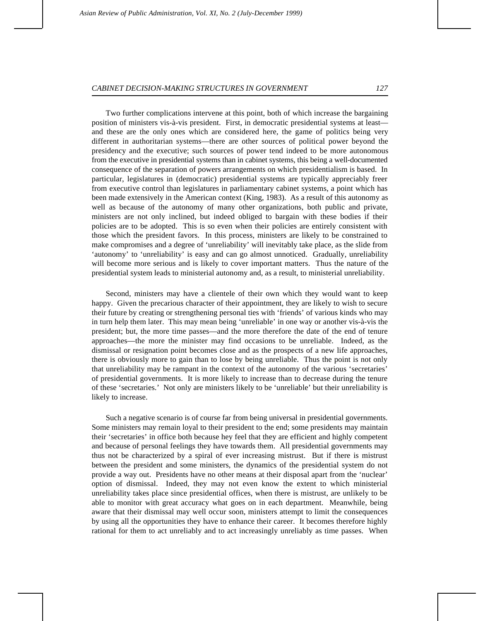Two further complications intervene at this point, both of which increase the bargaining position of ministers vis-à-vis president. First, in democratic presidential systems at least and these are the only ones which are considered here, the game of politics being very different in authoritarian systems—there are other sources of political power beyond the presidency and the executive; such sources of power tend indeed to be more autonomous from the executive in presidential systems than in cabinet systems, this being a well-documented consequence of the separation of powers arrangements on which presidentialism is based. In particular, legislatures in (democratic) presidential systems are typically appreciably freer from executive control than legislatures in parliamentary cabinet systems, a point which has been made extensively in the American context (King, 1983). As a result of this autonomy as well as because of the autonomy of many other organizations, both public and private, ministers are not only inclined, but indeed obliged to bargain with these bodies if their policies are to be adopted. This is so even when their policies are entirely consistent with those which the president favors. In this process, ministers are likely to be constrained to make compromises and a degree of 'unreliability' will inevitably take place, as the slide from 'autonomy' to 'unreliability' is easy and can go almost unnoticed. Gradually, unreliability will become more serious and is likely to cover important matters. Thus the nature of the presidential system leads to ministerial autonomy and, as a result, to ministerial unreliability.

Second, ministers may have a clientele of their own which they would want to keep happy. Given the precarious character of their appointment, they are likely to wish to secure their future by creating or strengthening personal ties with 'friends' of various kinds who may in turn help them later. This may mean being 'unreliable' in one way or another vis-à-vis the president; but, the more time passes—and the more therefore the date of the end of tenure approaches—the more the minister may find occasions to be unreliable. Indeed, as the dismissal or resignation point becomes close and as the prospects of a new life approaches, there is obviously more to gain than to lose by being unreliable. Thus the point is not only that unreliability may be rampant in the context of the autonomy of the various 'secretaries' of presidential governments. It is more likely to increase than to decrease during the tenure of these 'secretaries.' Not only are ministers likely to be 'unreliable' but their unreliability is likely to increase.

Such a negative scenario is of course far from being universal in presidential governments. Some ministers may remain loyal to their president to the end; some presidents may maintain their 'secretaries' in office both because hey feel that they are efficient and highly competent and because of personal feelings they have towards them. All presidential governments may thus not be characterized by a spiral of ever increasing mistrust. But if there is mistrust between the president and some ministers, the dynamics of the presidential system do not provide a way out. Presidents have no other means at their disposal apart from the 'nuclear' option of dismissal. Indeed, they may not even know the extent to which ministerial unreliability takes place since presidential offices, when there is mistrust, are unlikely to be able to monitor with great accuracy what goes on in each department. Meanwhile, being aware that their dismissal may well occur soon, ministers attempt to limit the consequences by using all the opportunities they have to enhance their career. It becomes therefore highly rational for them to act unreliably and to act increasingly unreliably as time passes. When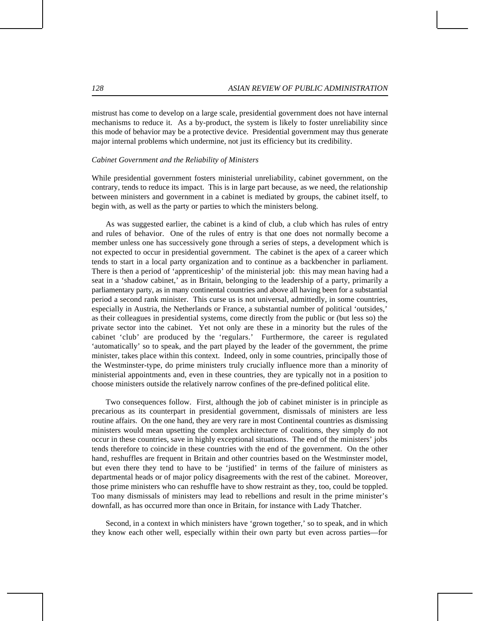mistrust has come to develop on a large scale, presidential government does not have internal mechanisms to reduce it. As a by-product, the system is likely to foster unreliability since this mode of behavior may be a protective device. Presidential government may thus generate major internal problems which undermine, not just its efficiency but its credibility.

### *Cabinet Government and the Reliability of Ministers*

While presidential government fosters ministerial unreliability, cabinet government, on the contrary, tends to reduce its impact. This is in large part because, as we need, the relationship between ministers and government in a cabinet is mediated by groups, the cabinet itself, to begin with, as well as the party or parties to which the ministers belong.

As was suggested earlier, the cabinet is a kind of club, a club which has rules of entry and rules of behavior. One of the rules of entry is that one does not normally become a member unless one has successively gone through a series of steps, a development which is not expected to occur in presidential government. The cabinet is the apex of a career which tends to start in a local party organization and to continue as a backbencher in parliament. There is then a period of 'apprenticeship' of the ministerial job: this may mean having had a seat in a 'shadow cabinet,' as in Britain, belonging to the leadership of a party, primarily a parliamentary party, as in many continental countries and above all having been for a substantial period a second rank minister. This curse us is not universal, admittedly, in some countries, especially in Austria, the Netherlands or France, a substantial number of political 'outsides,' as their colleagues in presidential systems, come directly from the public or (but less so) the private sector into the cabinet. Yet not only are these in a minority but the rules of the cabinet 'club' are produced by the 'regulars.' Furthermore, the career is regulated 'automatically' so to speak, and the part played by the leader of the government, the prime minister, takes place within this context. Indeed, only in some countries, principally those of the Westminster-type, do prime ministers truly crucially influence more than a minority of ministerial appointments and, even in these countries, they are typically not in a position to choose ministers outside the relatively narrow confines of the pre-defined political elite.

Two consequences follow. First, although the job of cabinet minister is in principle as precarious as its counterpart in presidential government, dismissals of ministers are less routine affairs. On the one hand, they are very rare in most Continental countries as dismissing ministers would mean upsetting the complex architecture of coalitions, they simply do not occur in these countries, save in highly exceptional situations. The end of the ministers' jobs tends therefore to coincide in these countries with the end of the government. On the other hand, reshuffles are frequent in Britain and other countries based on the Westminster model, but even there they tend to have to be 'justified' in terms of the failure of ministers as departmental heads or of major policy disagreements with the rest of the cabinet. Moreover, those prime ministers who can reshuffle have to show restraint as they, too, could be toppled. Too many dismissals of ministers may lead to rebellions and result in the prime minister's downfall, as has occurred more than once in Britain, for instance with Lady Thatcher.

Second, in a context in which ministers have 'grown together,' so to speak, and in which they know each other well, especially within their own party but even across parties—for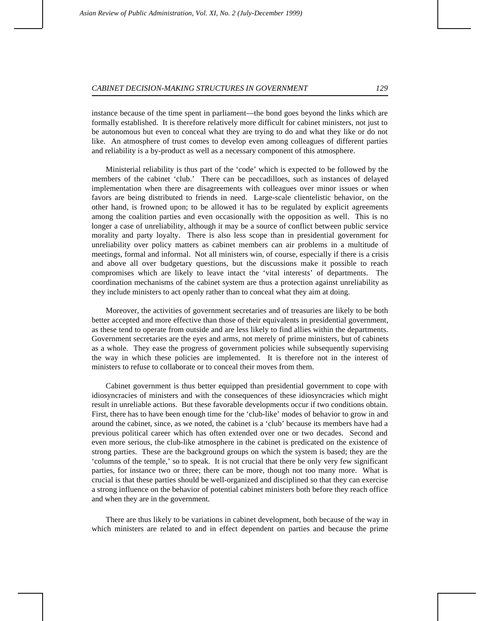instance because of the time spent in parliament—the bond goes beyond the links which are formally established. It is therefore relatively more difficult for cabinet ministers, not just to be autonomous but even to conceal what they are trying to do and what they like or do not like. An atmosphere of trust comes to develop even among colleagues of different parties and reliability is a by-product as well as a necessary component of this atmosphere.

Ministerial reliability is thus part of the 'code' which is expected to be followed by the members of the cabinet 'club.' There can be peccadilloes, such as instances of delayed implementation when there are disagreements with colleagues over minor issues or when favors are being distributed to friends in need. Large-scale clientelistic behavior, on the other hand, is frowned upon; to be allowed it has to be regulated by explicit agreements among the coalition parties and even occasionally with the opposition as well. This is no longer a case of unreliability, although it may be a source of conflict between public service morality and party loyalty. There is also less scope than in presidential government for unreliability over policy matters as cabinet members can air problems in a multitude of meetings, formal and informal. Not all ministers win, of course, especially if there is a crisis and above all over budgetary questions, but the discussions make it possible to reach compromises which are likely to leave intact the 'vital interests' of departments. The coordination mechanisms of the cabinet system are thus a protection against unreliability as they include ministers to act openly rather than to conceal what they aim at doing.

Moreover, the activities of government secretaries and of treasuries are likely to be both better accepted and more effective than those of their equivalents in presidential government, as these tend to operate from outside and are less likely to find allies within the departments. Government secretaries are the eyes and arms, not merely of prime ministers, but of cabinets as a whole. They ease the progress of government policies while subsequently supervising the way in which these policies are implemented. It is therefore not in the interest of ministers to refuse to collaborate or to conceal their moves from them.

Cabinet government is thus better equipped than presidential government to cope with idiosyncracies of ministers and with the consequences of these idiosyncracies which might result in unreliable actions. But these favorable developments occur if two conditions obtain. First, there has to have been enough time for the 'club-like' modes of behavior to grow in and around the cabinet, since, as we noted, the cabinet is a 'club' because its members have had a previous political career which has often extended over one or two decades. Second and even more serious, the club-like atmosphere in the cabinet is predicated on the existence of strong parties. These are the background groups on which the system is based; they are the 'columns of the temple,' so to speak. It is not crucial that there be only very few significant parties, for instance two or three; there can be more, though not too many more. What is crucial is that these parties should be well-organized and disciplined so that they can exercise a strong influence on the behavior of potential cabinet ministers both before they reach office and when they are in the government.

There are thus likely to be variations in cabinet development, both because of the way in which ministers are related to and in effect dependent on parties and because the prime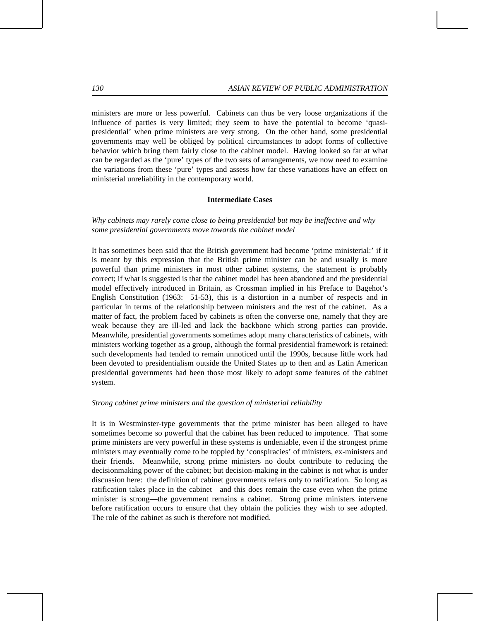ministers are more or less powerful. Cabinets can thus be very loose organizations if the influence of parties is very limited; they seem to have the potential to become 'quasipresidential' when prime ministers are very strong. On the other hand, some presidential governments may well be obliged by political circumstances to adopt forms of collective behavior which bring them fairly close to the cabinet model. Having looked so far at what can be regarded as the 'pure' types of the two sets of arrangements, we now need to examine the variations from these 'pure' types and assess how far these variations have an effect on ministerial unreliability in the contemporary world.

### **Intermediate Cases**

*Why cabinets may rarely come close to being presidential but may be ineffective and why some presidential governments move towards the cabinet model*

It has sometimes been said that the British government had become 'prime ministerial:' if it is meant by this expression that the British prime minister can be and usually is more powerful than prime ministers in most other cabinet systems, the statement is probably correct; if what is suggested is that the cabinet model has been abandoned and the presidential model effectively introduced in Britain, as Crossman implied in his Preface to Bagehot's English Constitution (1963: 51-53), this is a distortion in a number of respects and in particular in terms of the relationship between ministers and the rest of the cabinet. As a matter of fact, the problem faced by cabinets is often the converse one, namely that they are weak because they are ill-led and lack the backbone which strong parties can provide. Meanwhile, presidential governments sometimes adopt many characteristics of cabinets, with ministers working together as a group, although the formal presidential framework is retained: such developments had tended to remain unnoticed until the 1990s, because little work had been devoted to presidentialism outside the United States up to then and as Latin American presidential governments had been those most likely to adopt some features of the cabinet system.

#### *Strong cabinet prime ministers and the question of ministerial reliability*

It is in Westminster-type governments that the prime minister has been alleged to have sometimes become so powerful that the cabinet has been reduced to impotence. That some prime ministers are very powerful in these systems is undeniable, even if the strongest prime ministers may eventually come to be toppled by 'conspiracies' of ministers, ex-ministers and their friends. Meanwhile, strong prime ministers no doubt contribute to reducing the decisionmaking power of the cabinet; but decision-making in the cabinet is not what is under discussion here: the definition of cabinet governments refers only to ratification. So long as ratification takes place in the cabinet—and this does remain the case even when the prime minister is strong—the government remains a cabinet. Strong prime ministers intervene before ratification occurs to ensure that they obtain the policies they wish to see adopted. The role of the cabinet as such is therefore not modified.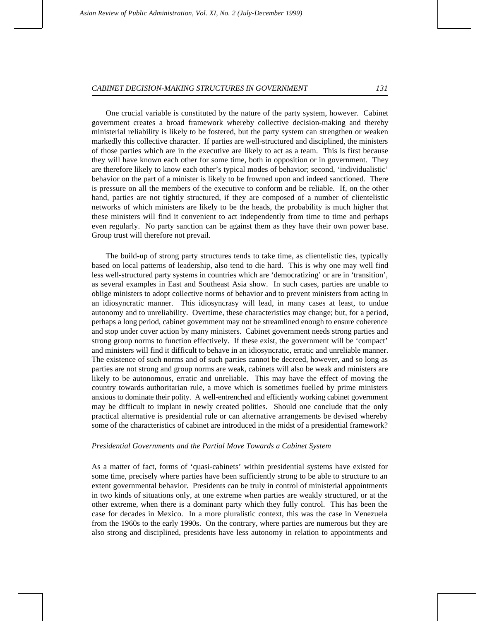One crucial variable is constituted by the nature of the party system, however. Cabinet government creates a broad framework whereby collective decision-making and thereby ministerial reliability is likely to be fostered, but the party system can strengthen or weaken markedly this collective character. If parties are well-structured and disciplined, the ministers of those parties which are in the executive are likely to act as a team. This is first because they will have known each other for some time, both in opposition or in government. They are therefore likely to know each other's typical modes of behavior; second, 'individualistic' behavior on the part of a minister is likely to be frowned upon and indeed sanctioned. There is pressure on all the members of the executive to conform and be reliable. If, on the other hand, parties are not tightly structured, if they are composed of a number of clientelistic networks of which ministers are likely to be the heads, the probability is much higher that these ministers will find it convenient to act independently from time to time and perhaps even regularly. No party sanction can be against them as they have their own power base. Group trust will therefore not prevail.

The build-up of strong party structures tends to take time, as clientelistic ties, typically based on local patterns of leadership, also tend to die hard. This is why one may well find less well-structured party systems in countries which are 'democratizing' or are in 'transition', as several examples in East and Southeast Asia show. In such cases, parties are unable to oblige ministers to adopt collective norms of behavior and to prevent ministers from acting in an idiosyncratic manner. This idiosyncrasy will lead, in many cases at least, to undue autonomy and to unreliability. Overtime, these characteristics may change; but, for a period, perhaps a long period, cabinet government may not be streamlined enough to ensure coherence and stop under cover action by many ministers. Cabinet government needs strong parties and strong group norms to function effectively. If these exist, the government will be 'compact' and ministers will find it difficult to behave in an idiosyncratic, erratic and unreliable manner. The existence of such norms and of such parties cannot be decreed, however, and so long as parties are not strong and group norms are weak, cabinets will also be weak and ministers are likely to be autonomous, erratic and unreliable. This may have the effect of moving the country towards authoritarian rule, a move which is sometimes fuelled by prime ministers anxious to dominate their polity. A well-entrenched and efficiently working cabinet government may be difficult to implant in newly created polities. Should one conclude that the only practical alternative is presidential rule or can alternative arrangements be devised whereby some of the characteristics of cabinet are introduced in the midst of a presidential framework?

#### *Presidential Governments and the Partial Move Towards a Cabinet System*

As a matter of fact, forms of 'quasi-cabinets' within presidential systems have existed for some time, precisely where parties have been sufficiently strong to be able to structure to an extent governmental behavior. Presidents can be truly in control of ministerial appointments in two kinds of situations only, at one extreme when parties are weakly structured, or at the other extreme, when there is a dominant party which they fully control. This has been the case for decades in Mexico. In a more pluralistic context, this was the case in Venezuela from the 1960s to the early 1990s. On the contrary, where parties are numerous but they are also strong and disciplined, presidents have less autonomy in relation to appointments and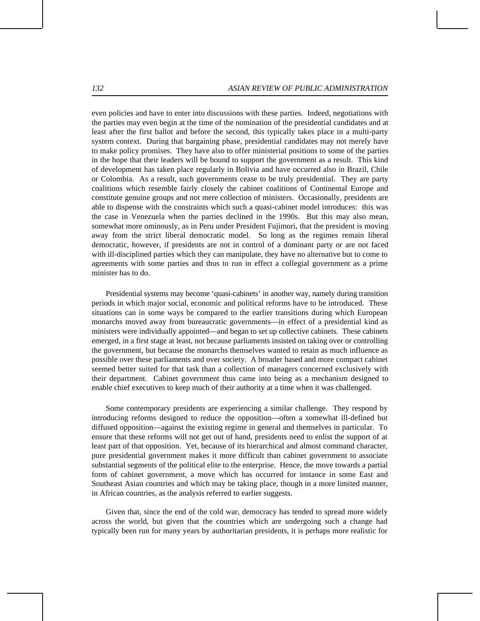even policies and have to enter into discussions with these parties. Indeed, negotiations with the parties may even begin at the time of the nomination of the presidential candidates and at least after the first ballot and before the second, this typically takes place in a multi-party system context. During that bargaining phase, presidential candidates may not merely have to make policy promises. They have also to offer ministerial positions to some of the parties in the hope that their leaders will be bound to support the government as a result. This kind of development has taken place regularly in Bolivia and have occurred also in Brazil, Chile or Colombia. As a result, such governments cease to be truly presidential. They are party coalitions which resemble fairly closely the cabinet coalitions of Continental Europe and constitute genuine groups and not mere collection of ministers. Occasionally, presidents are able to dispense with the constraints which such a quasi-cabinet model introduces: this was the case in Venezuela when the parties declined in the 1990s. But this may also mean, somewhat more ominously, as in Peru under President Fujimori, that the president is moving away from the strict liberal democratic model. So long as the regimes remain liberal democratic, however, if presidents are not in control of a dominant party or are not faced with ill-disciplined parties which they can manipulate, they have no alternative but to come to agreements with some parties and thus to run in effect a collegial government as a prime minister has to do.

Presidential systems may become 'quasi-cabinets' in another way, namely during transition periods in which major social, economic and political reforms have to be introduced. These situations can in some ways be compared to the earlier transitions during which European monarchs moved away from bureaucratic governments—in effect of a presidential kind as ministers were individually appointed—and began to set up collective cabinets. These cabinets emerged, in a first stage at least, not because parliaments insisted on taking over or controlling the government, but because the monarchs themselves wanted to retain as much influence as possible over these parliaments and over society. A broader based and more compact cabinet seemed better suited for that task than a collection of managers concerned exclusively with their department. Cabinet government thus came into being as a mechanism designed to enable chief executives to keep much of their authority at a time when it was challenged.

Some contemporary presidents are experiencing a similar challenge. They respond by introducing reforms designed to reduce the opposition—often a somewhat ill-defined but diffused opposition—against the existing regime in general and themselves in particular. To ensure that these reforms will not get out of hand, presidents need to enlist the support of at least part of that opposition. Yet, because of its hierarchical and almost command character, pure presidential government makes it more difficult than cabinet government to associate substantial segments of the political elite to the enterprise. Hence, the move towards a partial form of cabinet government, a move which has occurred for instance in some East and Southeast Asian countries and which may be taking place, though in a more limited manner, in African countries, as the analysis referred to earlier suggests.

Given that, since the end of the cold war, democracy has tended to spread more widely across the world, but given that the countries which are undergoing such a change had typically been run for many years by authoritarian presidents, it is perhaps more realistic for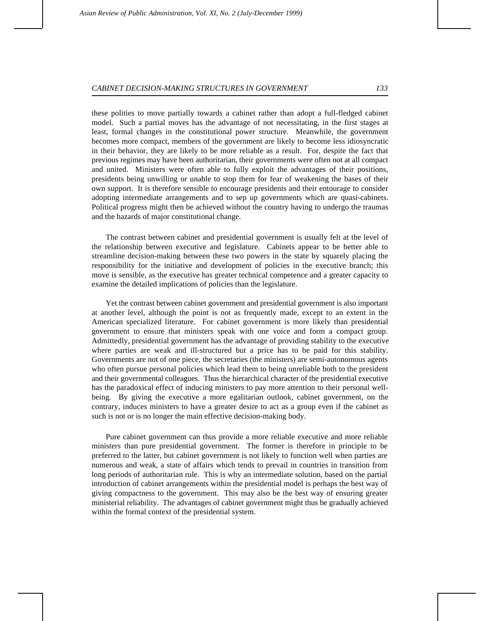these polities to move partially towards a cabinet rather than adopt a full-fledged cabinet model. Such a partial moves has the advantage of not necessitating, in the first stages at least, formal changes in the constitutional power structure. Meanwhile, the government becomes more compact, members of the government are likely to become less idiosyncratic in their behavior, they are likely to be more reliable as a result. For, despite the fact that previous regimes may have been authoritarian, their governments were often not at all compact and united. Ministers were often able to fully exploit the advantages of their positions, presidents being unwilling or unable to stop them for fear of weakening the bases of their own support. It is therefore sensible to encourage presidents and their entourage to consider adopting intermediate arrangements and to sep up governments which are quasi-cabinets. Political progress might then be achieved without the country having to undergo the traumas and the hazards of major constitutional change.

The contrast between cabinet and presidential government is usually felt at the level of the relationship between executive and legislature. Cabinets appear to be better able to streamline decision-making between these two powers in the state by squarely placing the responsibility for the initiative and development of policies in the executive branch; this move is sensible, as the executive has greater technical competence and a greater capacity to examine the detailed implications of policies than the legislature.

Yet the contrast between cabinet government and presidential government is also important at another level, although the point is not as frequently made, except to an extent in the American specialized literature. For cabinet government is more likely than presidential government to ensure that ministers speak with one voice and form a compact group. Admittedly, presidential government has the advantage of providing stability to the executive where parties are weak and ill-structured but a price has to be paid for this stability. Governments are not of one piece, the secretaries (the ministers) are semi-autonomous agents who often pursue personal policies which lead them to being unreliable both to the president and their governmental colleagues. Thus the hierarchical character of the presidential executive has the paradoxical effect of inducing ministers to pay more attention to their personal wellbeing. By giving the executive a more egalitarian outlook, cabinet government, on the contrary, induces ministers to have a greater desire to act as a group even if the cabinet as such is not or is no longer the main effective decision-making body.

Pure cabinet government can thus provide a more reliable executive and more reliable ministers than pure presidential government. The former is therefore in principle to be preferred to the latter, but cabinet government is not likely to function well when parties are numerous and weak, a state of affairs which tends to prevail in countries in transition from long periods of authoritarian rule. This is why an intermediate solution, based on the partial introduction of cabinet arrangements within the presidential model is perhaps the best way of giving compactness to the government. This may also be the best way of ensuring greater ministerial reliability. The advantages of cabinet government might thus be gradually achieved within the formal context of the presidential system.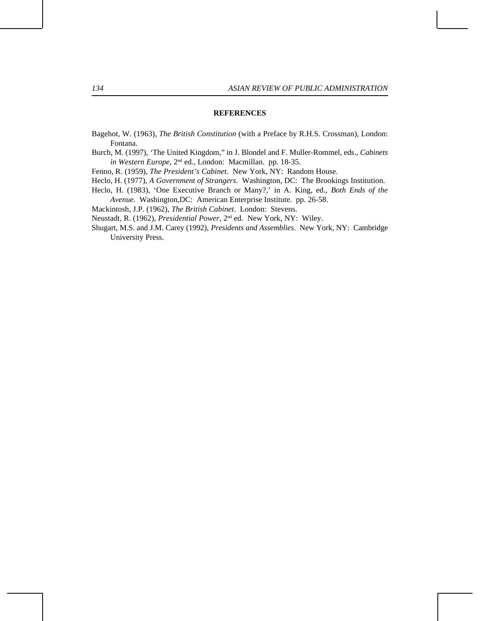### **REFERENCES**

- Bagehot, W. (1963), *The British Constitution* (with a Preface by R.H.S. Crossman), London: Fontana.
- Burch, M. (1997), 'The United Kingdom," in J. Blondel and F. Muller-Rommel, eds., *Cabinets in Western Europe*, 2nd ed., London: Macmillan. pp. 18-35.
- Fenno, R. (1959), *The President's Cabinet*. New York, NY: Random House.
- Heclo, H. (1977), *A Government of Strangers*. Washington, DC: The Brookings Institution.
- Heclo, H. (1983), 'One Executive Branch or Many?,' in A. King, ed., *Both Ends of the Avenue*. Washington,DC: American Enterprise Institute. pp. 26-58.
- 

Mackintosh, J.P. (1962), *The British Cabinet*. London: Stevens.

- Neustadt, R. (1962), *Presidential Power*, 2nd ed. New York, NY: Wiley.
- Shugart, M.S. and J.M. Carey (1992), *Presidents and Assemblies*. New York, NY: Cambridge University Press.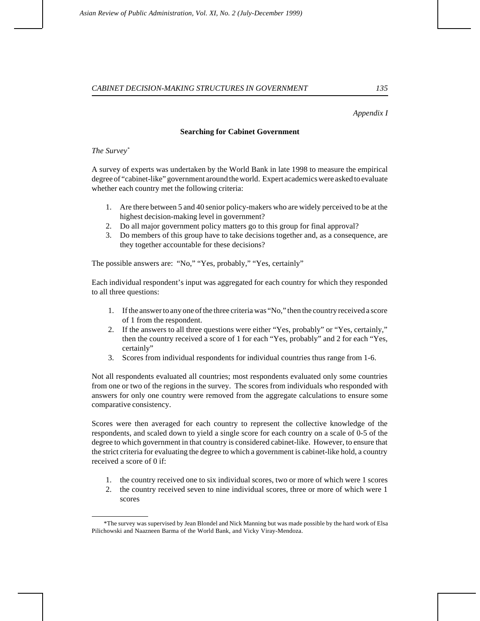### *Appendix I*

#### **Searching for Cabinet Government**

*The Survey\**

A survey of experts was undertaken by the World Bank in late 1998 to measure the empirical degree of "cabinet-like" government around the world. Expert academics were asked to evaluate whether each country met the following criteria:

- 1. Are there between 5 and 40 senior policy-makers who are widely perceived to be at the highest decision-making level in government?
- 2. Do all major government policy matters go to this group for final approval?
- 3. Do members of this group have to take decisions together and, as a consequence, are they together accountable for these decisions?

The possible answers are: "No," "Yes, probably," "Yes, certainly"

Each individual respondent's input was aggregated for each country for which they responded to all three questions:

- 1. If the answer to any one of the three criteria was "No," then the country received a score of 1 from the respondent.
- 2. If the answers to all three questions were either "Yes, probably" or "Yes, certainly," then the country received a score of 1 for each "Yes, probably" and 2 for each "Yes, certainly"
- 3. Scores from individual respondents for individual countries thus range from 1-6.

Not all respondents evaluated all countries; most respondents evaluated only some countries from one or two of the regions in the survey. The scores from individuals who responded with answers for only one country were removed from the aggregate calculations to ensure some comparative consistency.

Scores were then averaged for each country to represent the collective knowledge of the respondents, and scaled down to yield a single score for each country on a scale of 0-5 of the degree to which government in that country is considered cabinet-like. However, to ensure that the strict criteria for evaluating the degree to which a government is cabinet-like hold, a country received a score of 0 if:

- 1. the country received one to six individual scores, two or more of which were 1 scores
- 2. the country received seven to nine individual scores, three or more of which were 1 scores

 <sup>\*</sup>The survey was supervised by Jean Blondel and Nick Manning but was made possible by the hard work of Elsa Pilichowski and Naazneen Barma of the World Bank, and Vicky Viray-Mendoza.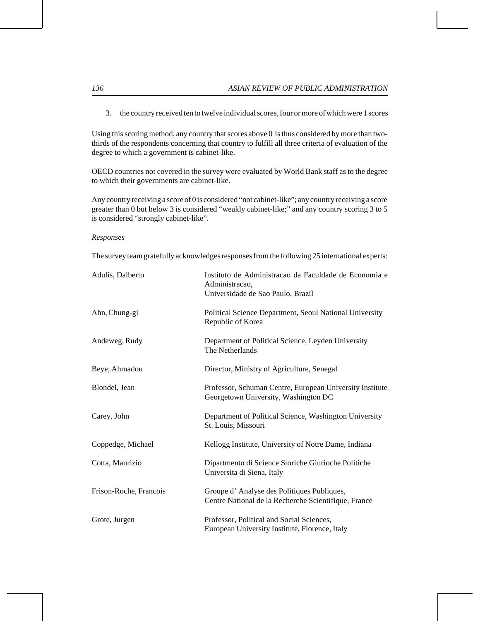3. the country received ten to twelve individual scores, four or more of which were 1 scores

Using this scoring method, any country that scores above 0 is thus considered by more than twothirds of the respondents concerning that country to fulfill all three criteria of evaluation of the degree to which a government is cabinet-like.

OECD countries not covered in the survey were evaluated by World Bank staff as to the degree to which their governments are cabinet-like.

Any country receiving a score of 0 is considered "not cabinet-like"; any country receiving a score greater than 0 but below 3 is considered "weakly cabinet-like;" and any country scoring 3 to 5 is considered "strongly cabinet-like".

### *Responses*

The survey team gratefully acknowledges responses from the following 25 international experts:

| Adulis, Dalberto       | Instituto de Administracao da Faculdade de Economia e<br>Administracao,<br>Universidade de Sao Paulo, Brazil |
|------------------------|--------------------------------------------------------------------------------------------------------------|
| Ahn, Chung-gi          | Political Science Department, Seoul National University<br>Republic of Korea                                 |
| Andeweg, Rudy          | Department of Political Science, Leyden University<br>The Netherlands                                        |
| Beye, Ahmadou          | Director, Ministry of Agriculture, Senegal                                                                   |
| Blondel, Jean          | Professor, Schuman Centre, European University Institute<br>Georgetown University, Washington DC             |
| Carey, John            | Department of Political Science, Washington University<br>St. Louis, Missouri                                |
| Coppedge, Michael      | Kellogg Institute, University of Notre Dame, Indiana                                                         |
| Cotta, Maurizio        | Dipartmento di Science Storiche Giurioche Politiche<br>Universita di Siena, Italy                            |
| Frison-Roche, Francois | Groupe d'Analyse des Politiques Publiques,<br>Centre National de la Recherche Scientifique, France           |
| Grote, Jurgen          | Professor, Political and Social Sciences,<br>European University Institute, Florence, Italy                  |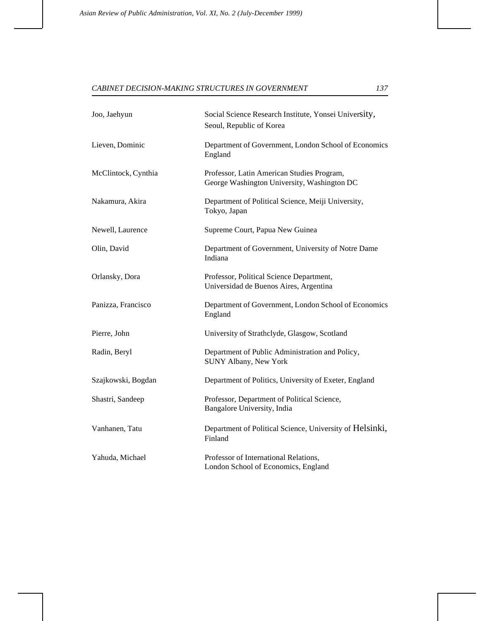| Joo, Jaehyun        | Social Science Research Institute, Yonsei University,<br>Seoul, Republic of Korea         |  |
|---------------------|-------------------------------------------------------------------------------------------|--|
| Lieven, Dominic     | Department of Government, London School of Economics<br>England                           |  |
| McClintock, Cynthia | Professor, Latin American Studies Program,<br>George Washington University, Washington DC |  |
| Nakamura, Akira     | Department of Political Science, Meiji University,<br>Tokyo, Japan                        |  |
| Newell, Laurence    | Supreme Court, Papua New Guinea                                                           |  |
| Olin, David         | Department of Government, University of Notre Dame<br>Indiana                             |  |
| Orlansky, Dora      | Professor, Political Science Department,<br>Universidad de Buenos Aires, Argentina        |  |
| Panizza, Francisco  | Department of Government, London School of Economics<br>England                           |  |
| Pierre, John        | University of Strathclyde, Glasgow, Scotland                                              |  |
| Radin, Beryl        | Department of Public Administration and Policy,<br>SUNY Albany, New York                  |  |
| Szajkowski, Bogdan  | Department of Politics, University of Exeter, England                                     |  |
| Shastri, Sandeep    | Professor, Department of Political Science,<br>Bangalore University, India                |  |
| Vanhanen, Tatu      | Department of Political Science, University of Helsinki,<br>Finland                       |  |
| Yahuda, Michael     | Professor of International Relations,<br>London School of Economics, England              |  |